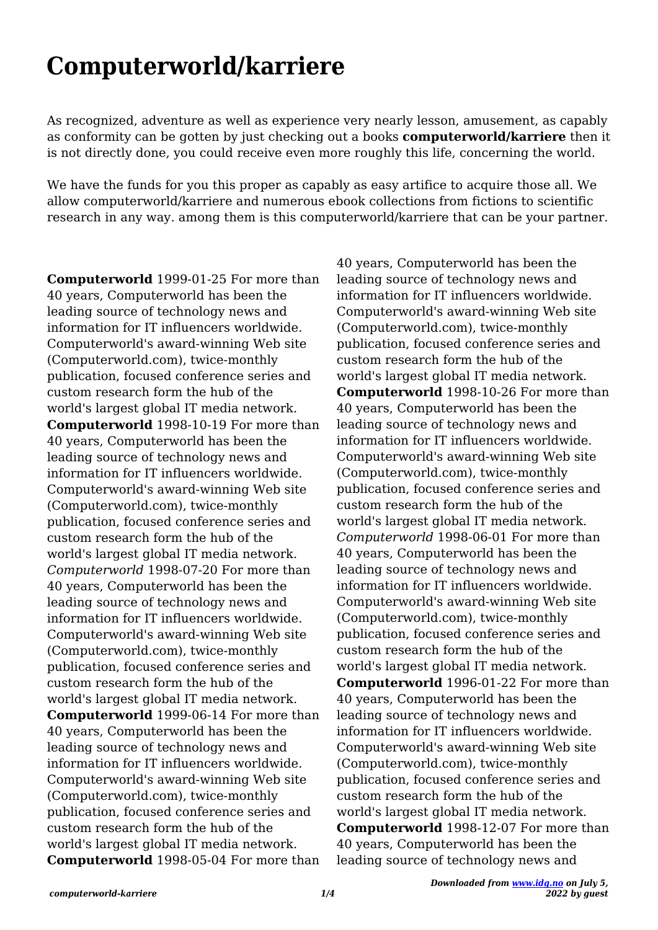## **Computerworld/karriere**

As recognized, adventure as well as experience very nearly lesson, amusement, as capably as conformity can be gotten by just checking out a books **computerworld/karriere** then it is not directly done, you could receive even more roughly this life, concerning the world.

We have the funds for you this proper as capably as easy artifice to acquire those all. We allow computerworld/karriere and numerous ebook collections from fictions to scientific research in any way. among them is this computerworld/karriere that can be your partner.

**Computerworld** 1999-01-25 For more than 40 years, Computerworld has been the leading source of technology news and information for IT influencers worldwide. Computerworld's award-winning Web site (Computerworld.com), twice-monthly publication, focused conference series and custom research form the hub of the world's largest global IT media network. **Computerworld** 1998-10-19 For more than 40 years, Computerworld has been the leading source of technology news and information for IT influencers worldwide. Computerworld's award-winning Web site (Computerworld.com), twice-monthly publication, focused conference series and custom research form the hub of the world's largest global IT media network. *Computerworld* 1998-07-20 For more than 40 years, Computerworld has been the leading source of technology news and information for IT influencers worldwide. Computerworld's award-winning Web site (Computerworld.com), twice-monthly publication, focused conference series and custom research form the hub of the world's largest global IT media network. **Computerworld** 1999-06-14 For more than 40 years, Computerworld has been the leading source of technology news and information for IT influencers worldwide. Computerworld's award-winning Web site (Computerworld.com), twice-monthly publication, focused conference series and custom research form the hub of the world's largest global IT media network. **Computerworld** 1998-05-04 For more than

40 years, Computerworld has been the leading source of technology news and information for IT influencers worldwide. Computerworld's award-winning Web site (Computerworld.com), twice-monthly publication, focused conference series and custom research form the hub of the world's largest global IT media network. **Computerworld** 1998-10-26 For more than 40 years, Computerworld has been the leading source of technology news and information for IT influencers worldwide. Computerworld's award-winning Web site (Computerworld.com), twice-monthly publication, focused conference series and custom research form the hub of the world's largest global IT media network. *Computerworld* 1998-06-01 For more than 40 years, Computerworld has been the leading source of technology news and information for IT influencers worldwide. Computerworld's award-winning Web site (Computerworld.com), twice-monthly publication, focused conference series and custom research form the hub of the world's largest global IT media network. **Computerworld** 1996-01-22 For more than 40 years, Computerworld has been the leading source of technology news and information for IT influencers worldwide. Computerworld's award-winning Web site (Computerworld.com), twice-monthly publication, focused conference series and custom research form the hub of the world's largest global IT media network. **Computerworld** 1998-12-07 For more than 40 years, Computerworld has been the leading source of technology news and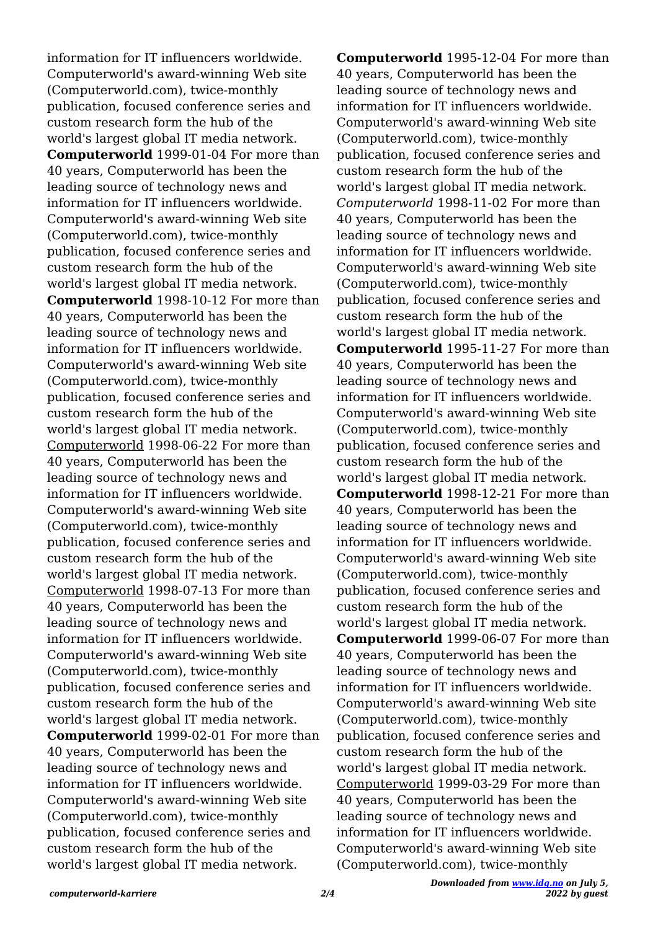information for IT influencers worldwide. Computerworld's award-winning Web site (Computerworld.com), twice-monthly publication, focused conference series and custom research form the hub of the world's largest global IT media network. **Computerworld** 1999-01-04 For more than 40 years, Computerworld has been the leading source of technology news and information for IT influencers worldwide. Computerworld's award-winning Web site (Computerworld.com), twice-monthly publication, focused conference series and custom research form the hub of the world's largest global IT media network. **Computerworld** 1998-10-12 For more than 40 years, Computerworld has been the leading source of technology news and information for IT influencers worldwide. Computerworld's award-winning Web site (Computerworld.com), twice-monthly publication, focused conference series and custom research form the hub of the world's largest global IT media network. Computerworld 1998-06-22 For more than 40 years, Computerworld has been the leading source of technology news and information for IT influencers worldwide. Computerworld's award-winning Web site (Computerworld.com), twice-monthly publication, focused conference series and custom research form the hub of the world's largest global IT media network. Computerworld 1998-07-13 For more than 40 years, Computerworld has been the leading source of technology news and information for IT influencers worldwide. Computerworld's award-winning Web site (Computerworld.com), twice-monthly publication, focused conference series and custom research form the hub of the world's largest global IT media network. **Computerworld** 1999-02-01 For more than 40 years, Computerworld has been the leading source of technology news and information for IT influencers worldwide. Computerworld's award-winning Web site (Computerworld.com), twice-monthly publication, focused conference series and custom research form the hub of the world's largest global IT media network.

**Computerworld** 1995-12-04 For more than 40 years, Computerworld has been the leading source of technology news and information for IT influencers worldwide. Computerworld's award-winning Web site (Computerworld.com), twice-monthly publication, focused conference series and custom research form the hub of the world's largest global IT media network. *Computerworld* 1998-11-02 For more than 40 years, Computerworld has been the leading source of technology news and information for IT influencers worldwide. Computerworld's award-winning Web site (Computerworld.com), twice-monthly publication, focused conference series and custom research form the hub of the world's largest global IT media network. **Computerworld** 1995-11-27 For more than 40 years, Computerworld has been the leading source of technology news and information for IT influencers worldwide. Computerworld's award-winning Web site (Computerworld.com), twice-monthly publication, focused conference series and custom research form the hub of the world's largest global IT media network. **Computerworld** 1998-12-21 For more than 40 years, Computerworld has been the leading source of technology news and information for IT influencers worldwide. Computerworld's award-winning Web site (Computerworld.com), twice-monthly publication, focused conference series and custom research form the hub of the world's largest global IT media network. **Computerworld** 1999-06-07 For more than 40 years, Computerworld has been the leading source of technology news and information for IT influencers worldwide. Computerworld's award-winning Web site (Computerworld.com), twice-monthly publication, focused conference series and custom research form the hub of the world's largest global IT media network. Computerworld 1999-03-29 For more than 40 years, Computerworld has been the leading source of technology news and information for IT influencers worldwide. Computerworld's award-winning Web site (Computerworld.com), twice-monthly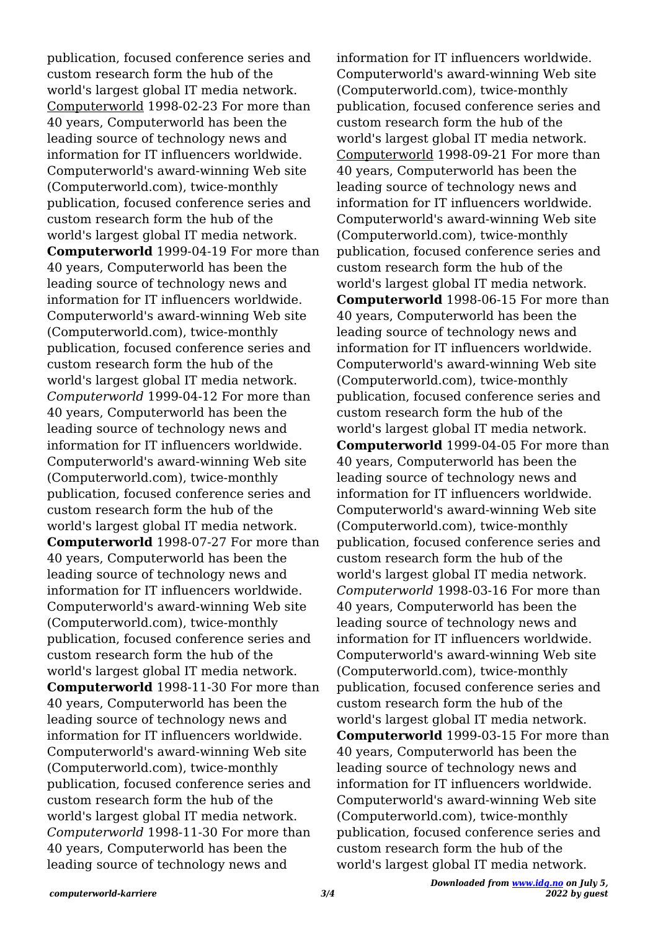publication, focused conference series and custom research form the hub of the world's largest global IT media network. Computerworld 1998-02-23 For more than 40 years, Computerworld has been the leading source of technology news and information for IT influencers worldwide. Computerworld's award-winning Web site (Computerworld.com), twice-monthly publication, focused conference series and custom research form the hub of the world's largest global IT media network. **Computerworld** 1999-04-19 For more than 40 years, Computerworld has been the leading source of technology news and information for IT influencers worldwide. Computerworld's award-winning Web site (Computerworld.com), twice-monthly publication, focused conference series and custom research form the hub of the world's largest global IT media network. *Computerworld* 1999-04-12 For more than 40 years, Computerworld has been the leading source of technology news and information for IT influencers worldwide. Computerworld's award-winning Web site (Computerworld.com), twice-monthly publication, focused conference series and custom research form the hub of the world's largest global IT media network. **Computerworld** 1998-07-27 For more than 40 years, Computerworld has been the leading source of technology news and information for IT influencers worldwide. Computerworld's award-winning Web site (Computerworld.com), twice-monthly publication, focused conference series and custom research form the hub of the world's largest global IT media network. **Computerworld** 1998-11-30 For more than 40 years, Computerworld has been the leading source of technology news and information for IT influencers worldwide. Computerworld's award-winning Web site (Computerworld.com), twice-monthly publication, focused conference series and custom research form the hub of the world's largest global IT media network. *Computerworld* 1998-11-30 For more than 40 years, Computerworld has been the leading source of technology news and

information for IT influencers worldwide. Computerworld's award-winning Web site (Computerworld.com), twice-monthly publication, focused conference series and custom research form the hub of the world's largest global IT media network. Computerworld 1998-09-21 For more than 40 years, Computerworld has been the leading source of technology news and information for IT influencers worldwide. Computerworld's award-winning Web site (Computerworld.com), twice-monthly publication, focused conference series and custom research form the hub of the world's largest global IT media network. **Computerworld** 1998-06-15 For more than 40 years, Computerworld has been the leading source of technology news and information for IT influencers worldwide. Computerworld's award-winning Web site (Computerworld.com), twice-monthly publication, focused conference series and custom research form the hub of the world's largest global IT media network. **Computerworld** 1999-04-05 For more than 40 years, Computerworld has been the leading source of technology news and information for IT influencers worldwide. Computerworld's award-winning Web site (Computerworld.com), twice-monthly publication, focused conference series and custom research form the hub of the world's largest global IT media network. *Computerworld* 1998-03-16 For more than 40 years, Computerworld has been the leading source of technology news and information for IT influencers worldwide. Computerworld's award-winning Web site (Computerworld.com), twice-monthly publication, focused conference series and custom research form the hub of the world's largest global IT media network. **Computerworld** 1999-03-15 For more than 40 years, Computerworld has been the leading source of technology news and information for IT influencers worldwide. Computerworld's award-winning Web site (Computerworld.com), twice-monthly publication, focused conference series and custom research form the hub of the world's largest global IT media network.